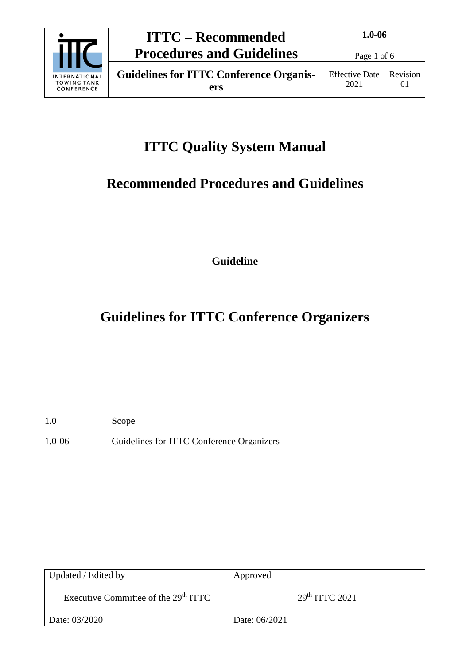

# **ITTC Quality System Manual**

## **Recommended Procedures and Guidelines**

**Guideline**

# **Guidelines for ITTC Conference Organizers**

1.0 Scope

1.0-06 Guidelines for ITTC Conference Organizers

| Updated / Edited by                              | Approved                   |
|--------------------------------------------------|----------------------------|
| Executive Committee of the 29 <sup>th</sup> ITTC | 29 <sup>th</sup> TTTC 2021 |
| Date: 03/2020                                    | Date: 06/2021              |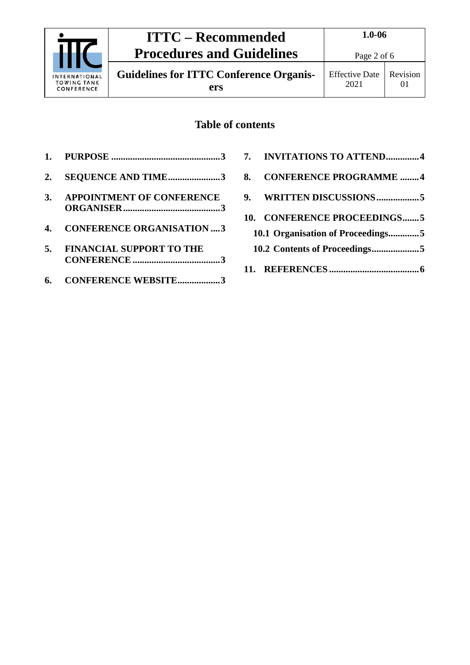

**Guidelines for ITTC Conference Organisers**

## **Table of contents**

| 2. | <b>SEQUENCE AND TIME3</b>        |
|----|----------------------------------|
| 3. | <b>APPOINTMENT OF CONFERENCE</b> |
| 4. | <b>CONFERENCE ORGANISATION3</b>  |
| 5. | <b>FINANCIAL SUPPORT TO THE</b>  |
|    | 6. CONFERENCE WEBSITE3           |

|    | 7. INVITATIONS TO ATTEND4         |  |
|----|-----------------------------------|--|
| 8. | <b>CONFERENCE PROGRAMME 4</b>     |  |
| 9. |                                   |  |
|    | 10. CONFERENCE PROCEEDINGS5       |  |
|    | 10.1 Organisation of Proceedings5 |  |
|    |                                   |  |
|    |                                   |  |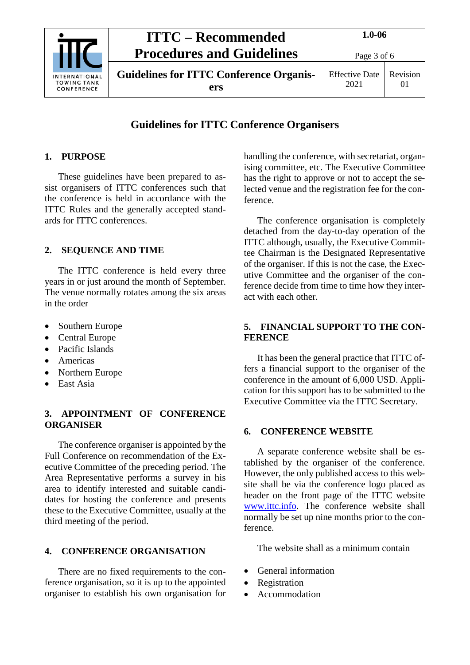

## **ITTC – Recommended Procedures and Guidelines**

**Guidelines for ITTC Conference Organisers**

### **Guidelines for ITTC Conference Organisers**

#### <span id="page-2-0"></span>**1. PURPOSE**

These guidelines have been prepared to assist organisers of ITTC conferences such that the conference is held in accordance with the ITTC Rules and the generally accepted standards for ITTC conferences.

#### <span id="page-2-1"></span>**2. SEQUENCE AND TIME**

The ITTC conference is held every three years in or just around the month of September. The venue normally rotates among the six areas in the order

- Southern Europe
- Central Europe
- Pacific Islands
- Americas
- Northern Europe
- East Asia

#### <span id="page-2-2"></span>**3. APPOINTMENT OF CONFERENCE ORGANISER**

The conference organiser is appointed by the Full Conference on recommendation of the Executive Committee of the preceding period. The Area Representative performs a survey in his area to identify interested and suitable candidates for hosting the conference and presents these to the Executive Committee, usually at the third meeting of the period.

#### <span id="page-2-3"></span>**4. CONFERENCE ORGANISATION**

There are no fixed requirements to the conference organisation, so it is up to the appointed organiser to establish his own organisation for handling the conference, with secretariat, organising committee, etc. The Executive Committee has the right to approve or not to accept the selected venue and the registration fee for the conference.

The conference organisation is completely detached from the day-to-day operation of the ITTC although, usually, the Executive Committee Chairman is the Designated Representative of the organiser. If this is not the case, the Executive Committee and the organiser of the conference decide from time to time how they interact with each other.

#### <span id="page-2-4"></span>**5. FINANCIAL SUPPORT TO THE CON-FERENCE**

It has been the general practice that ITTC offers a financial support to the organiser of the conference in the amount of 6,000 USD. Application for this support has to be submitted to the Executive Committee via the ITTC Secretary.

#### <span id="page-2-5"></span>**6. CONFERENCE WEBSITE**

A separate conference website shall be established by the organiser of the conference. However, the only published access to this website shall be via the conference logo placed as header on the front page of the ITTC website [www.ittc.info.](http://www.ittc.info/) The conference website shall normally be set up nine months prior to the conference.

The website shall as a minimum contain

- General information
- Registration
- Accommodation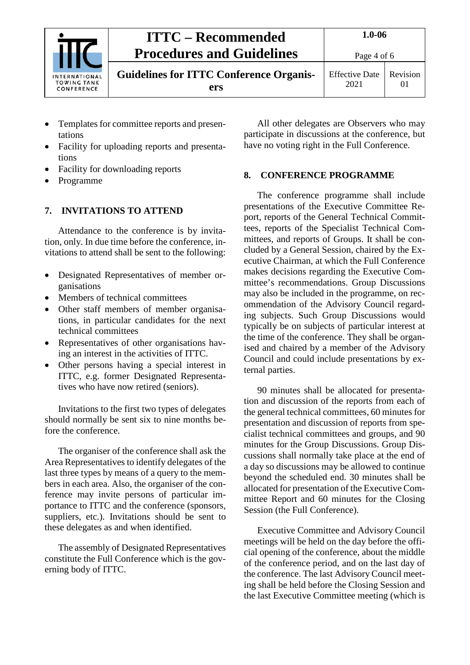

## **ITTC – Recommended Procedures and Guidelines**

**Guidelines for ITTC Conference Organisers**

Effective Date 2021 Revision 01

- Templates for committee reports and presentations
- Facility for uploading reports and presentations
- Facility for downloading reports
- Programme

### <span id="page-3-0"></span>**7. INVITATIONS TO ATTEND**

Attendance to the conference is by invitation, only. In due time before the conference, invitations to attend shall be sent to the following:

- Designated Representatives of member organisations
- Members of technical committees
- Other staff members of member organisations, in particular candidates for the next technical committees
- Representatives of other organisations having an interest in the activities of ITTC.
- Other persons having a special interest in ITTC, e.g. former Designated Representatives who have now retired (seniors).

Invitations to the first two types of delegates should normally be sent six to nine months before the conference.

The organiser of the conference shall ask the Area Representatives to identify delegates of the last three types by means of a query to the members in each area. Also, the organiser of the conference may invite persons of particular importance to ITTC and the conference (sponsors, suppliers, etc.). Invitations should be sent to these delegates as and when identified.

The assembly of Designated Representatives constitute the Full Conference which is the governing body of ITTC.

All other delegates are Observers who may participate in discussions at the conference, but have no voting right in the Full Conference.

### <span id="page-3-1"></span>**8. CONFERENCE PROGRAMME**

The conference programme shall include presentations of the Executive Committee Report, reports of the General Technical Committees, reports of the Specialist Technical Committees, and reports of Groups. It shall be concluded by a General Session, chaired by the Executive Chairman, at which the Full Conference makes decisions regarding the Executive Committee's recommendations. Group Discussions may also be included in the programme, on recommendation of the Advisory Council regarding subjects. Such Group Discussions would typically be on subjects of particular interest at the time of the conference. They shall be organised and chaired by a member of the Advisory Council and could include presentations by external parties.

90 minutes shall be allocated for presentation and discussion of the reports from each of the general technical committees, 60 minutes for presentation and discussion of reports from specialist technical committees and groups, and 90 minutes for the Group Discussions. Group Discussions shall normally take place at the end of a day so discussions may be allowed to continue beyond the scheduled end. 30 minutes shall be allocated for presentation of the Executive Committee Report and 60 minutes for the Closing Session (the Full Conference).

Executive Committee and Advisory Council meetings will be held on the day before the official opening of the conference, about the middle of the conference period, and on the last day of the conference. The last Advisory Council meeting shall be held before the Closing Session and the last Executive Committee meeting (which is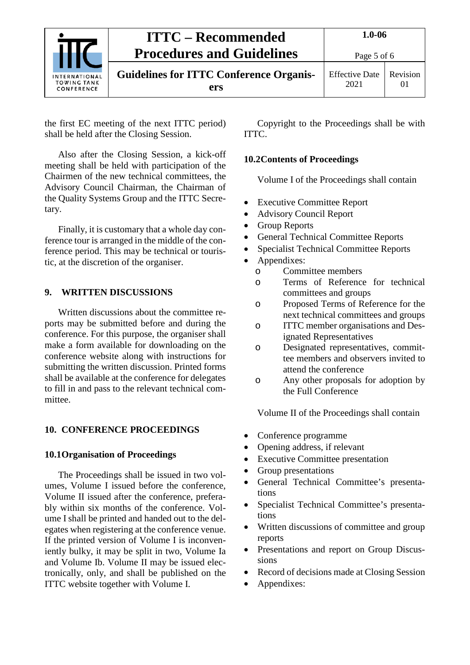|                                                          | <b>ITTC – Recommended</b>                             | $1.0 - 06$                    |                      |
|----------------------------------------------------------|-------------------------------------------------------|-------------------------------|----------------------|
| <b>INTERNATIONAL</b><br><b>TOWING TANK</b><br>CONFERENCE | <b>Procedures and Guidelines</b>                      | Page 5 of 6                   |                      |
|                                                          | <b>Guidelines for ITTC Conference Organis-</b><br>ers | <b>Effective Date</b><br>2021 | Revision<br>$\Omega$ |

the first EC meeting of the next ITTC period) shall be held after the Closing Session.

Also after the Closing Session, a kick-off meeting shall be held with participation of the Chairmen of the new technical committees, the Advisory Council Chairman, the Chairman of the Quality Systems Group and the ITTC Secretary.

Finally, it is customary that a whole day conference tour is arranged in the middle of the conference period. This may be technical or touristic, at the discretion of the organiser.

#### <span id="page-4-0"></span>**9. WRITTEN DISCUSSIONS**

Written discussions about the committee reports may be submitted before and during the conference. For this purpose, the organiser shall make a form available for downloading on the conference website along with instructions for submitting the written discussion. Printed forms shall be available at the conference for delegates to fill in and pass to the relevant technical committee.

#### <span id="page-4-2"></span><span id="page-4-1"></span>**10. CONFERENCE PROCEEDINGS**

#### **10.1Organisation of Proceedings**

The Proceedings shall be issued in two volumes, Volume I issued before the conference, Volume II issued after the conference, preferably within six months of the conference. Volume I shall be printed and handed out to the delegates when registering at the conference venue. If the printed version of Volume I is inconveniently bulky, it may be split in two, Volume Ia and Volume Ib. Volume II may be issued electronically, only, and shall be published on the ITTC website together with Volume I.

Copyright to the Proceedings shall be with ITTC.

#### <span id="page-4-3"></span>**10.2Contents of Proceedings**

Volume I of the Proceedings shall contain

- **Executive Committee Report**
- Advisory Council Report
- Group Reports
- General Technical Committee Reports
- Specialist Technical Committee Reports
- Appendixes:
	- o Committee members
	- o Terms of Reference for technical committees and groups
	- o Proposed Terms of Reference for the next technical committees and groups
	- o ITTC member organisations and Designated Representatives
	- o Designated representatives, committee members and observers invited to attend the conference
	- o Any other proposals for adoption by the Full Conference

Volume II of the Proceedings shall contain

- Conference programme
- Opening address, if relevant
- Executive Committee presentation
- Group presentations
- General Technical Committee's presentations
- Specialist Technical Committee's presentations
- Written discussions of committee and group reports
- Presentations and report on Group Discussions
- Record of decisions made at Closing Session
- Appendixes: